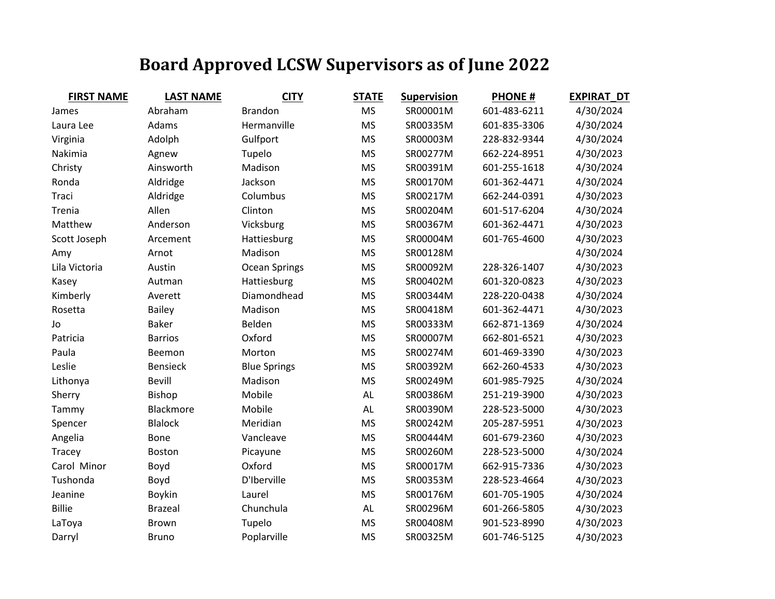## **Board Approved LCSW Supervisors as of June 2022**

| <b>FIRST NAME</b> | <b>LAST NAME</b> | <b>CITY</b>         | <b>STATE</b> | <b>Supervision</b> | <b>PHONE#</b> | <b>EXPIRAT DT</b> |
|-------------------|------------------|---------------------|--------------|--------------------|---------------|-------------------|
| James             | Abraham          | <b>Brandon</b>      | <b>MS</b>    | SR00001M           | 601-483-6211  | 4/30/2024         |
| Laura Lee         | Adams            | Hermanville         | <b>MS</b>    | SR00335M           | 601-835-3306  | 4/30/2024         |
| Virginia          | Adolph           | Gulfport            | <b>MS</b>    | SR00003M           | 228-832-9344  | 4/30/2024         |
| Nakimia           | Agnew            | Tupelo              | <b>MS</b>    | SR00277M           | 662-224-8951  | 4/30/2023         |
| Christy           | Ainsworth        | Madison             | <b>MS</b>    | SR00391M           | 601-255-1618  | 4/30/2024         |
| Ronda             | Aldridge         | Jackson             | <b>MS</b>    | SR00170M           | 601-362-4471  | 4/30/2024         |
| Traci             | Aldridge         | Columbus            | <b>MS</b>    | SR00217M           | 662-244-0391  | 4/30/2023         |
| Trenia            | Allen            | Clinton             | <b>MS</b>    | SR00204M           | 601-517-6204  | 4/30/2024         |
| Matthew           | Anderson         | Vicksburg           | <b>MS</b>    | SR00367M           | 601-362-4471  | 4/30/2023         |
| Scott Joseph      | Arcement         | Hattiesburg         | <b>MS</b>    | SR00004M           | 601-765-4600  | 4/30/2023         |
| Amy               | Arnot            | Madison             | <b>MS</b>    | SR00128M           |               | 4/30/2024         |
| Lila Victoria     | Austin           | Ocean Springs       | <b>MS</b>    | SR00092M           | 228-326-1407  | 4/30/2023         |
| Kasey             | Autman           | Hattiesburg         | <b>MS</b>    | SR00402M           | 601-320-0823  | 4/30/2023         |
| Kimberly          | Averett          | Diamondhead         | <b>MS</b>    | SR00344M           | 228-220-0438  | 4/30/2024         |
| Rosetta           | <b>Bailey</b>    | Madison             | <b>MS</b>    | SR00418M           | 601-362-4471  | 4/30/2023         |
| Jo                | <b>Baker</b>     | Belden              | <b>MS</b>    | SR00333M           | 662-871-1369  | 4/30/2024         |
| Patricia          | <b>Barrios</b>   | Oxford              | <b>MS</b>    | SR00007M           | 662-801-6521  | 4/30/2023         |
| Paula             | Beemon           | Morton              | <b>MS</b>    | SR00274M           | 601-469-3390  | 4/30/2023         |
| Leslie            | <b>Bensieck</b>  | <b>Blue Springs</b> | <b>MS</b>    | SR00392M           | 662-260-4533  | 4/30/2023         |
| Lithonya          | Bevill           | Madison             | <b>MS</b>    | SR00249M           | 601-985-7925  | 4/30/2024         |
| Sherry            | Bishop           | Mobile              | AL           | SR00386M           | 251-219-3900  | 4/30/2023         |
| Tammy             | Blackmore        | Mobile              | AL           | SR00390M           | 228-523-5000  | 4/30/2023         |
| Spencer           | <b>Blalock</b>   | Meridian            | <b>MS</b>    | SR00242M           | 205-287-5951  | 4/30/2023         |
| Angelia           | Bone             | Vancleave           | <b>MS</b>    | SR00444M           | 601-679-2360  | 4/30/2023         |
| Tracey            | Boston           | Picayune            | <b>MS</b>    | SR00260M           | 228-523-5000  | 4/30/2024         |
| Carol Minor       | Boyd             | Oxford              | <b>MS</b>    | SR00017M           | 662-915-7336  | 4/30/2023         |
| Tushonda          | Boyd             | D'Iberville         | <b>MS</b>    | SR00353M           | 228-523-4664  | 4/30/2023         |
| Jeanine           | <b>Boykin</b>    | Laurel              | <b>MS</b>    | SR00176M           | 601-705-1905  | 4/30/2024         |
| <b>Billie</b>     | <b>Brazeal</b>   | Chunchula           | AL           | SR00296M           | 601-266-5805  | 4/30/2023         |
| LaToya            | <b>Brown</b>     | Tupelo              | <b>MS</b>    | SR00408M           | 901-523-8990  | 4/30/2023         |
| Darryl            | <b>Bruno</b>     | Poplarville         | <b>MS</b>    | SR00325M           | 601-746-5125  | 4/30/2023         |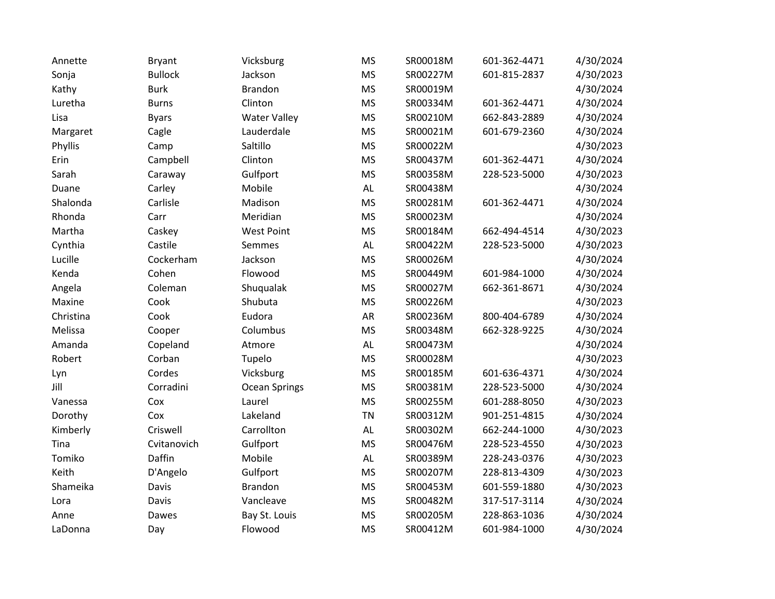| Annette   | <b>Bryant</b>  | Vicksburg           | <b>MS</b>     | SR00018M | 601-362-4471 | 4/30/2024 |
|-----------|----------------|---------------------|---------------|----------|--------------|-----------|
| Sonja     | <b>Bullock</b> | Jackson             | <b>MS</b>     | SR00227M | 601-815-2837 | 4/30/2023 |
| Kathy     | <b>Burk</b>    | <b>Brandon</b>      | <b>MS</b>     | SR00019M |              | 4/30/2024 |
| Luretha   | <b>Burns</b>   | Clinton             | <b>MS</b>     | SR00334M | 601-362-4471 | 4/30/2024 |
| Lisa      | <b>Byars</b>   | <b>Water Valley</b> | <b>MS</b>     | SR00210M | 662-843-2889 | 4/30/2024 |
| Margaret  | Cagle          | Lauderdale          | <b>MS</b>     | SR00021M | 601-679-2360 | 4/30/2024 |
| Phyllis   | Camp           | Saltillo            | <b>MS</b>     | SR00022M |              | 4/30/2023 |
| Erin      | Campbell       | Clinton             | <b>MS</b>     | SR00437M | 601-362-4471 | 4/30/2024 |
| Sarah     | Caraway        | Gulfport            | <b>MS</b>     | SR00358M | 228-523-5000 | 4/30/2023 |
| Duane     | Carley         | Mobile              | AL            | SR00438M |              | 4/30/2024 |
| Shalonda  | Carlisle       | Madison             | <b>MS</b>     | SR00281M | 601-362-4471 | 4/30/2024 |
| Rhonda    | Carr           | Meridian            | <b>MS</b>     | SR00023M |              | 4/30/2024 |
| Martha    | Caskey         | <b>West Point</b>   | <b>MS</b>     | SR00184M | 662-494-4514 | 4/30/2023 |
| Cynthia   | Castile        | Semmes              | $\mathsf{AL}$ | SR00422M | 228-523-5000 | 4/30/2023 |
| Lucille   | Cockerham      | Jackson             | <b>MS</b>     | SR00026M |              | 4/30/2024 |
| Kenda     | Cohen          | Flowood             | <b>MS</b>     | SR00449M | 601-984-1000 | 4/30/2024 |
| Angela    | Coleman        | Shuqualak           | <b>MS</b>     | SR00027M | 662-361-8671 | 4/30/2024 |
| Maxine    | Cook           | Shubuta             | <b>MS</b>     | SR00226M |              | 4/30/2023 |
| Christina | Cook           | Eudora              | <b>AR</b>     | SR00236M | 800-404-6789 | 4/30/2024 |
| Melissa   | Cooper         | Columbus            | <b>MS</b>     | SR00348M | 662-328-9225 | 4/30/2024 |
| Amanda    | Copeland       | Atmore              | $\mathsf{AL}$ | SR00473M |              | 4/30/2024 |
| Robert    | Corban         | Tupelo              | <b>MS</b>     | SR00028M |              | 4/30/2023 |
| Lyn       | Cordes         | Vicksburg           | <b>MS</b>     | SR00185M | 601-636-4371 | 4/30/2024 |
| Jill      | Corradini      | Ocean Springs       | <b>MS</b>     | SR00381M | 228-523-5000 | 4/30/2024 |
| Vanessa   | Cox            | Laurel              | <b>MS</b>     | SR00255M | 601-288-8050 | 4/30/2023 |
| Dorothy   | Cox            | Lakeland            | <b>TN</b>     | SR00312M | 901-251-4815 | 4/30/2024 |
| Kimberly  | Criswell       | Carrollton          | $\mathsf{AL}$ | SR00302M | 662-244-1000 | 4/30/2023 |
| Tina      | Cvitanovich    | Gulfport            | <b>MS</b>     | SR00476M | 228-523-4550 | 4/30/2023 |
| Tomiko    | Daffin         | Mobile              | $\mathsf{AL}$ | SR00389M | 228-243-0376 | 4/30/2023 |
| Keith     | D'Angelo       | Gulfport            | <b>MS</b>     | SR00207M | 228-813-4309 | 4/30/2023 |
| Shameika  | Davis          | <b>Brandon</b>      | <b>MS</b>     | SR00453M | 601-559-1880 | 4/30/2023 |
| Lora      | Davis          | Vancleave           | <b>MS</b>     | SR00482M | 317-517-3114 | 4/30/2024 |
| Anne      | Dawes          | Bay St. Louis       | <b>MS</b>     | SR00205M | 228-863-1036 | 4/30/2024 |
| LaDonna   | Day            | Flowood             | <b>MS</b>     | SR00412M | 601-984-1000 | 4/30/2024 |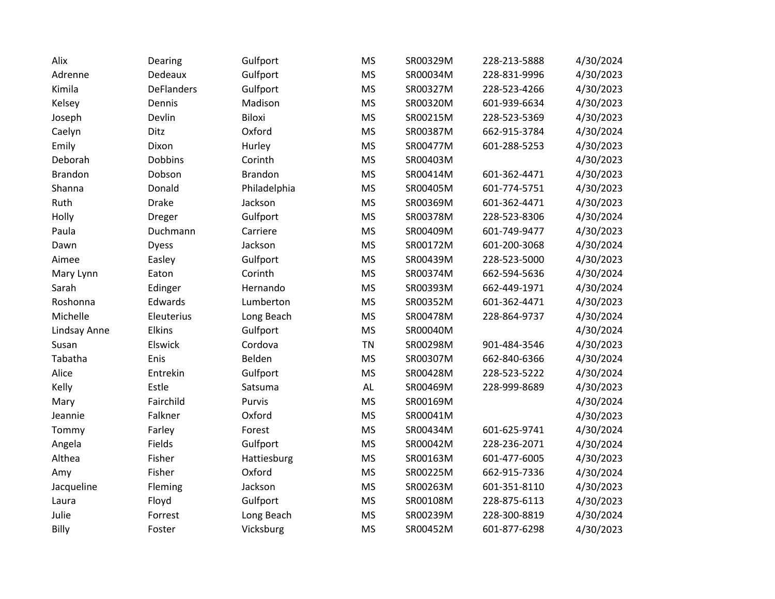| Alix           | Dearing           | Gulfport       | <b>MS</b> | SR00329M | 228-213-5888 | 4/30/2024 |
|----------------|-------------------|----------------|-----------|----------|--------------|-----------|
| Adrenne        | Dedeaux           | Gulfport       | <b>MS</b> | SR00034M | 228-831-9996 | 4/30/2023 |
| Kimila         | <b>DeFlanders</b> | Gulfport       | <b>MS</b> | SR00327M | 228-523-4266 | 4/30/2023 |
| Kelsey         | Dennis            | Madison        | <b>MS</b> | SR00320M | 601-939-6634 | 4/30/2023 |
| Joseph         | Devlin            | Biloxi         | <b>MS</b> | SR00215M | 228-523-5369 | 4/30/2023 |
| Caelyn         | Ditz              | Oxford         | <b>MS</b> | SR00387M | 662-915-3784 | 4/30/2024 |
| Emily          | Dixon             | Hurley         | <b>MS</b> | SR00477M | 601-288-5253 | 4/30/2023 |
| Deborah        | Dobbins           | Corinth        | <b>MS</b> | SR00403M |              | 4/30/2023 |
| <b>Brandon</b> | Dobson            | <b>Brandon</b> | <b>MS</b> | SR00414M | 601-362-4471 | 4/30/2023 |
| Shanna         | Donald            | Philadelphia   | <b>MS</b> | SR00405M | 601-774-5751 | 4/30/2023 |
| Ruth           | <b>Drake</b>      | Jackson        | <b>MS</b> | SR00369M | 601-362-4471 | 4/30/2023 |
| Holly          | <b>Dreger</b>     | Gulfport       | <b>MS</b> | SR00378M | 228-523-8306 | 4/30/2024 |
| Paula          | Duchmann          | Carriere       | <b>MS</b> | SR00409M | 601-749-9477 | 4/30/2023 |
| Dawn           | <b>Dyess</b>      | Jackson        | <b>MS</b> | SR00172M | 601-200-3068 | 4/30/2024 |
| Aimee          | Easley            | Gulfport       | <b>MS</b> | SR00439M | 228-523-5000 | 4/30/2023 |
| Mary Lynn      | Eaton             | Corinth        | <b>MS</b> | SR00374M | 662-594-5636 | 4/30/2024 |
| Sarah          | Edinger           | Hernando       | <b>MS</b> | SR00393M | 662-449-1971 | 4/30/2024 |
| Roshonna       | Edwards           | Lumberton      | <b>MS</b> | SR00352M | 601-362-4471 | 4/30/2023 |
| Michelle       | Eleuterius        | Long Beach     | <b>MS</b> | SR00478M | 228-864-9737 | 4/30/2024 |
| Lindsay Anne   | Elkins            | Gulfport       | <b>MS</b> | SR00040M |              | 4/30/2024 |
| Susan          | Elswick           | Cordova        | <b>TN</b> | SR00298M | 901-484-3546 | 4/30/2023 |
| Tabatha        | Enis              | Belden         | <b>MS</b> | SR00307M | 662-840-6366 | 4/30/2024 |
| Alice          | Entrekin          | Gulfport       | <b>MS</b> | SR00428M | 228-523-5222 | 4/30/2024 |
| Kelly          | Estle             | Satsuma        | AL        | SR00469M | 228-999-8689 | 4/30/2023 |
| Mary           | Fairchild         | Purvis         | <b>MS</b> | SR00169M |              | 4/30/2024 |
| Jeannie        | Falkner           | Oxford         | <b>MS</b> | SR00041M |              | 4/30/2023 |
| Tommy          | Farley            | Forest         | <b>MS</b> | SR00434M | 601-625-9741 | 4/30/2024 |
| Angela         | Fields            | Gulfport       | <b>MS</b> | SR00042M | 228-236-2071 | 4/30/2024 |
| Althea         | Fisher            | Hattiesburg    | <b>MS</b> | SR00163M | 601-477-6005 | 4/30/2023 |
| Amy            | Fisher            | Oxford         | <b>MS</b> | SR00225M | 662-915-7336 | 4/30/2024 |
| Jacqueline     | Fleming           | Jackson        | <b>MS</b> | SR00263M | 601-351-8110 | 4/30/2023 |
| Laura          | Floyd             | Gulfport       | <b>MS</b> | SR00108M | 228-875-6113 | 4/30/2023 |
| Julie          | Forrest           | Long Beach     | <b>MS</b> | SR00239M | 228-300-8819 | 4/30/2024 |
| Billy          | Foster            | Vicksburg      | <b>MS</b> | SR00452M | 601-877-6298 | 4/30/2023 |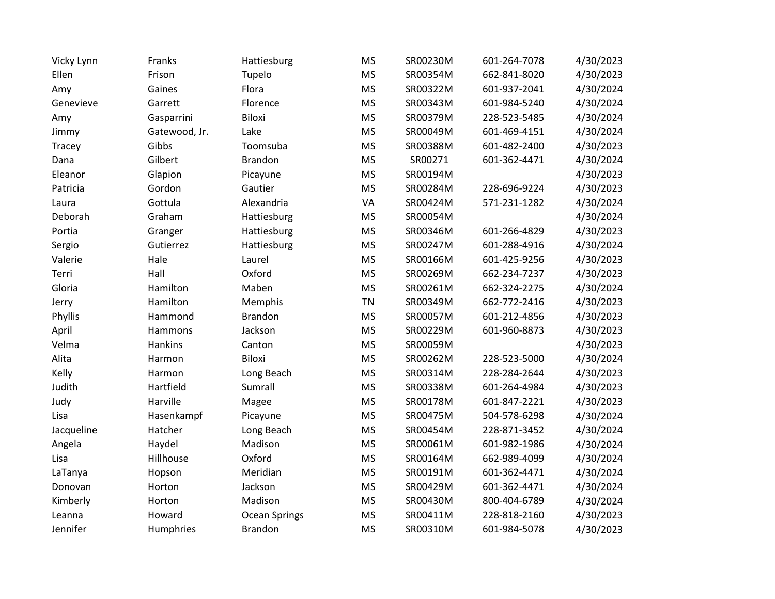| Vicky Lynn | Franks        | Hattiesburg    | <b>MS</b> | SR00230M | 601-264-7078 | 4/30/2023 |
|------------|---------------|----------------|-----------|----------|--------------|-----------|
| Ellen      | Frison        | Tupelo         | <b>MS</b> | SR00354M | 662-841-8020 | 4/30/2023 |
| Amy        | Gaines        | Flora          | <b>MS</b> | SR00322M | 601-937-2041 | 4/30/2024 |
| Genevieve  | Garrett       | Florence       | <b>MS</b> | SR00343M | 601-984-5240 | 4/30/2024 |
| Amy        | Gasparrini    | Biloxi         | <b>MS</b> | SR00379M | 228-523-5485 | 4/30/2024 |
| Jimmy      | Gatewood, Jr. | Lake           | <b>MS</b> | SR00049M | 601-469-4151 | 4/30/2024 |
| Tracey     | Gibbs         | Toomsuba       | <b>MS</b> | SR00388M | 601-482-2400 | 4/30/2023 |
| Dana       | Gilbert       | <b>Brandon</b> | <b>MS</b> | SR00271  | 601-362-4471 | 4/30/2024 |
| Eleanor    | Glapion       | Picayune       | <b>MS</b> | SR00194M |              | 4/30/2023 |
| Patricia   | Gordon        | Gautier        | <b>MS</b> | SR00284M | 228-696-9224 | 4/30/2023 |
| Laura      | Gottula       | Alexandria     | VA        | SR00424M | 571-231-1282 | 4/30/2024 |
| Deborah    | Graham        | Hattiesburg    | <b>MS</b> | SR00054M |              | 4/30/2024 |
| Portia     | Granger       | Hattiesburg    | <b>MS</b> | SR00346M | 601-266-4829 | 4/30/2023 |
| Sergio     | Gutierrez     | Hattiesburg    | <b>MS</b> | SR00247M | 601-288-4916 | 4/30/2024 |
| Valerie    | Hale          | Laurel         | <b>MS</b> | SR00166M | 601-425-9256 | 4/30/2023 |
| Terri      | Hall          | Oxford         | <b>MS</b> | SR00269M | 662-234-7237 | 4/30/2023 |
| Gloria     | Hamilton      | Maben          | <b>MS</b> | SR00261M | 662-324-2275 | 4/30/2024 |
| Jerry      | Hamilton      | Memphis        | <b>TN</b> | SR00349M | 662-772-2416 | 4/30/2023 |
| Phyllis    | Hammond       | <b>Brandon</b> | <b>MS</b> | SR00057M | 601-212-4856 | 4/30/2023 |
| April      | Hammons       | Jackson        | <b>MS</b> | SR00229M | 601-960-8873 | 4/30/2023 |
| Velma      | Hankins       | Canton         | <b>MS</b> | SR00059M |              | 4/30/2023 |
| Alita      | Harmon        | Biloxi         | <b>MS</b> | SR00262M | 228-523-5000 | 4/30/2024 |
| Kelly      | Harmon        | Long Beach     | <b>MS</b> | SR00314M | 228-284-2644 | 4/30/2023 |
| Judith     | Hartfield     | Sumrall        | <b>MS</b> | SR00338M | 601-264-4984 | 4/30/2023 |
| Judy       | Harville      | Magee          | <b>MS</b> | SR00178M | 601-847-2221 | 4/30/2023 |
| Lisa       | Hasenkampf    | Picayune       | <b>MS</b> | SR00475M | 504-578-6298 | 4/30/2024 |
| Jacqueline | Hatcher       | Long Beach     | <b>MS</b> | SR00454M | 228-871-3452 | 4/30/2024 |
| Angela     | Haydel        | Madison        | <b>MS</b> | SR00061M | 601-982-1986 | 4/30/2024 |
| Lisa       | Hillhouse     | Oxford         | <b>MS</b> | SR00164M | 662-989-4099 | 4/30/2024 |
| LaTanya    | Hopson        | Meridian       | <b>MS</b> | SR00191M | 601-362-4471 | 4/30/2024 |
| Donovan    | Horton        | Jackson        | <b>MS</b> | SR00429M | 601-362-4471 | 4/30/2024 |
| Kimberly   | Horton        | Madison        | <b>MS</b> | SR00430M | 800-404-6789 | 4/30/2024 |
| Leanna     | Howard        | Ocean Springs  | <b>MS</b> | SR00411M | 228-818-2160 | 4/30/2023 |
| Jennifer   | Humphries     | <b>Brandon</b> | <b>MS</b> | SR00310M | 601-984-5078 | 4/30/2023 |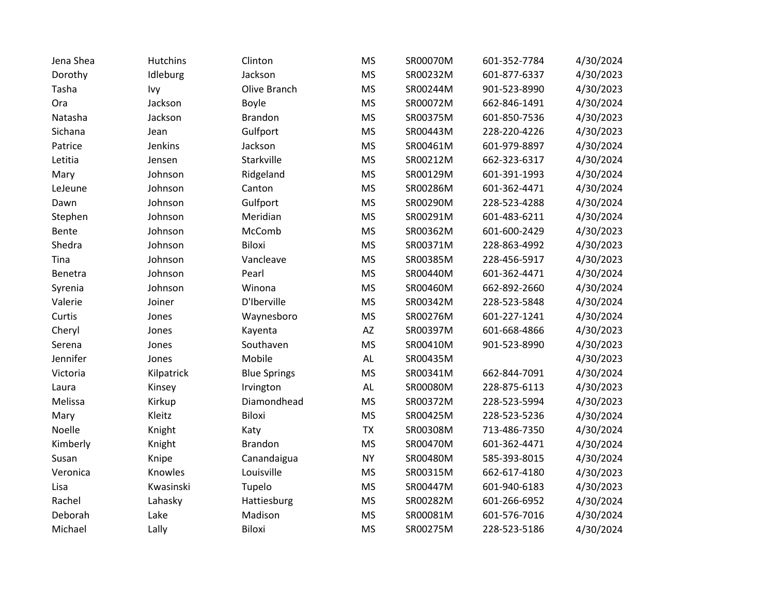| Jena Shea | <b>Hutchins</b> | Clinton             | <b>MS</b>              | SR00070M | 601-352-7784 | 4/30/2024 |
|-----------|-----------------|---------------------|------------------------|----------|--------------|-----------|
| Dorothy   | Idleburg        | Jackson             | <b>MS</b>              | SR00232M | 601-877-6337 | 4/30/2023 |
| Tasha     | Ivy             | Olive Branch        | <b>MS</b>              | SR00244M | 901-523-8990 | 4/30/2023 |
| Ora       | Jackson         | <b>Boyle</b>        | <b>MS</b>              | SR00072M | 662-846-1491 | 4/30/2024 |
| Natasha   | Jackson         | <b>Brandon</b>      | <b>MS</b>              | SR00375M | 601-850-7536 | 4/30/2023 |
| Sichana   | Jean            | Gulfport            | <b>MS</b>              | SR00443M | 228-220-4226 | 4/30/2023 |
| Patrice   | Jenkins         | Jackson             | <b>MS</b>              | SR00461M | 601-979-8897 | 4/30/2024 |
| Letitia   | Jensen          | Starkville          | <b>MS</b>              | SR00212M | 662-323-6317 | 4/30/2024 |
| Mary      | Johnson         | Ridgeland           | <b>MS</b>              | SR00129M | 601-391-1993 | 4/30/2024 |
| LeJeune   | Johnson         | Canton              | <b>MS</b>              | SR00286M | 601-362-4471 | 4/30/2024 |
| Dawn      | Johnson         | Gulfport            | <b>MS</b>              | SR00290M | 228-523-4288 | 4/30/2024 |
| Stephen   | Johnson         | Meridian            | <b>MS</b>              | SR00291M | 601-483-6211 | 4/30/2024 |
| Bente     | Johnson         | McComb              | <b>MS</b>              | SR00362M | 601-600-2429 | 4/30/2023 |
| Shedra    | Johnson         | <b>Biloxi</b>       | <b>MS</b>              | SR00371M | 228-863-4992 | 4/30/2023 |
| Tina      | Johnson         | Vancleave           | <b>MS</b>              | SR00385M | 228-456-5917 | 4/30/2023 |
| Benetra   | Johnson         | Pearl               | <b>MS</b>              | SR00440M | 601-362-4471 | 4/30/2024 |
| Syrenia   | Johnson         | Winona              | <b>MS</b>              | SR00460M | 662-892-2660 | 4/30/2024 |
| Valerie   | Joiner          | D'Iberville         | <b>MS</b>              | SR00342M | 228-523-5848 | 4/30/2024 |
| Curtis    | Jones           | Waynesboro          | <b>MS</b>              | SR00276M | 601-227-1241 | 4/30/2024 |
| Cheryl    | Jones           | Kayenta             | $\mathsf{A}\mathsf{Z}$ | SR00397M | 601-668-4866 | 4/30/2023 |
| Serena    | Jones           | Southaven           | <b>MS</b>              | SR00410M | 901-523-8990 | 4/30/2023 |
| Jennifer  | Jones           | Mobile              | $\mathsf{AL}$          | SR00435M |              | 4/30/2023 |
| Victoria  | Kilpatrick      | <b>Blue Springs</b> | <b>MS</b>              | SR00341M | 662-844-7091 | 4/30/2024 |
| Laura     | Kinsey          | Irvington           | $\mathsf{AL}$          | SR00080M | 228-875-6113 | 4/30/2023 |
| Melissa   | Kirkup          | Diamondhead         | <b>MS</b>              | SR00372M | 228-523-5994 | 4/30/2023 |
| Mary      | Kleitz          | Biloxi              | <b>MS</b>              | SR00425M | 228-523-5236 | 4/30/2024 |
| Noelle    | Knight          | Katy                | <b>TX</b>              | SR00308M | 713-486-7350 | 4/30/2024 |
| Kimberly  | Knight          | <b>Brandon</b>      | <b>MS</b>              | SR00470M | 601-362-4471 | 4/30/2024 |
| Susan     | Knipe           | Canandaigua         | <b>NY</b>              | SR00480M | 585-393-8015 | 4/30/2024 |
| Veronica  | Knowles         | Louisville          | <b>MS</b>              | SR00315M | 662-617-4180 | 4/30/2023 |
| Lisa      | Kwasinski       | Tupelo              | <b>MS</b>              | SR00447M | 601-940-6183 | 4/30/2023 |
| Rachel    | Lahasky         | Hattiesburg         | <b>MS</b>              | SR00282M | 601-266-6952 | 4/30/2024 |
| Deborah   | Lake            | Madison             | <b>MS</b>              | SR00081M | 601-576-7016 | 4/30/2024 |
| Michael   | Lally           | <b>Biloxi</b>       | <b>MS</b>              | SR00275M | 228-523-5186 | 4/30/2024 |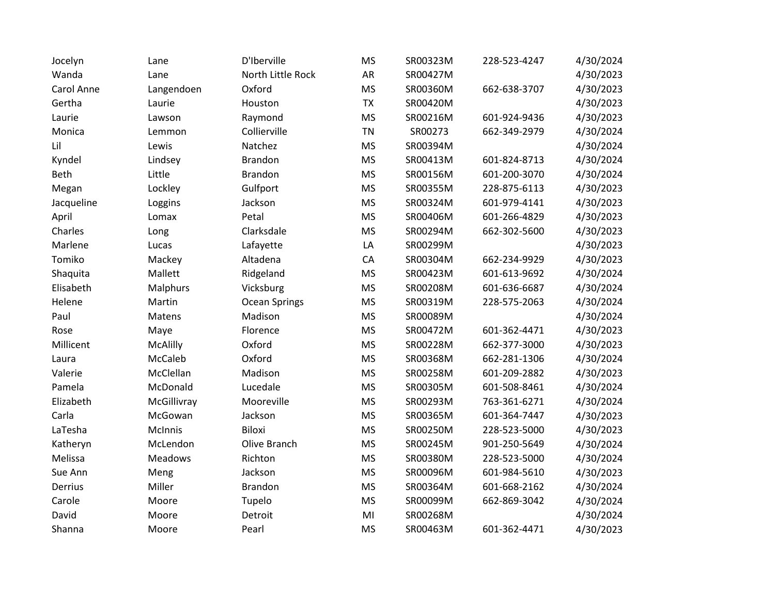| Jocelyn     | Lane        | D'Iberville       | <b>MS</b> | SR00323M | 228-523-4247 | 4/30/2024 |
|-------------|-------------|-------------------|-----------|----------|--------------|-----------|
| Wanda       | Lane        | North Little Rock | AR        | SR00427M |              | 4/30/2023 |
| Carol Anne  | Langendoen  | Oxford            | <b>MS</b> | SR00360M | 662-638-3707 | 4/30/2023 |
| Gertha      | Laurie      | Houston           | TX        | SR00420M |              | 4/30/2023 |
| Laurie      | Lawson      | Raymond           | <b>MS</b> | SR00216M | 601-924-9436 | 4/30/2023 |
| Monica      | Lemmon      | Collierville      | <b>TN</b> | SR00273  | 662-349-2979 | 4/30/2024 |
| Lil         | Lewis       | Natchez           | <b>MS</b> | SR00394M |              | 4/30/2024 |
| Kyndel      | Lindsey     | <b>Brandon</b>    | <b>MS</b> | SR00413M | 601-824-8713 | 4/30/2024 |
| <b>Beth</b> | Little      | <b>Brandon</b>    | <b>MS</b> | SR00156M | 601-200-3070 | 4/30/2024 |
| Megan       | Lockley     | Gulfport          | <b>MS</b> | SR00355M | 228-875-6113 | 4/30/2023 |
| Jacqueline  | Loggins     | Jackson           | <b>MS</b> | SR00324M | 601-979-4141 | 4/30/2023 |
| April       | Lomax       | Petal             | <b>MS</b> | SR00406M | 601-266-4829 | 4/30/2023 |
| Charles     | Long        | Clarksdale        | <b>MS</b> | SR00294M | 662-302-5600 | 4/30/2023 |
| Marlene     | Lucas       | Lafayette         | LA        | SR00299M |              | 4/30/2023 |
| Tomiko      | Mackey      | Altadena          | CA        | SR00304M | 662-234-9929 | 4/30/2023 |
| Shaquita    | Mallett     | Ridgeland         | <b>MS</b> | SR00423M | 601-613-9692 | 4/30/2024 |
| Elisabeth   | Malphurs    | Vicksburg         | <b>MS</b> | SR00208M | 601-636-6687 | 4/30/2024 |
| Helene      | Martin      | Ocean Springs     | <b>MS</b> | SR00319M | 228-575-2063 | 4/30/2024 |
| Paul        | Matens      | Madison           | <b>MS</b> | SR00089M |              | 4/30/2024 |
| Rose        | Maye        | Florence          | <b>MS</b> | SR00472M | 601-362-4471 | 4/30/2023 |
| Millicent   | McAlilly    | Oxford            | <b>MS</b> | SR00228M | 662-377-3000 | 4/30/2023 |
| Laura       | McCaleb     | Oxford            | <b>MS</b> | SR00368M | 662-281-1306 | 4/30/2024 |
| Valerie     | McClellan   | Madison           | <b>MS</b> | SR00258M | 601-209-2882 | 4/30/2023 |
| Pamela      | McDonald    | Lucedale          | <b>MS</b> | SR00305M | 601-508-8461 | 4/30/2024 |
| Elizabeth   | McGillivray | Mooreville        | <b>MS</b> | SR00293M | 763-361-6271 | 4/30/2024 |
| Carla       | McGowan     | Jackson           | <b>MS</b> | SR00365M | 601-364-7447 | 4/30/2023 |
| LaTesha     | McInnis     | <b>Biloxi</b>     | <b>MS</b> | SR00250M | 228-523-5000 | 4/30/2023 |
| Katheryn    | McLendon    | Olive Branch      | <b>MS</b> | SR00245M | 901-250-5649 | 4/30/2024 |
| Melissa     | Meadows     | Richton           | <b>MS</b> | SR00380M | 228-523-5000 | 4/30/2024 |
| Sue Ann     | Meng        | Jackson           | <b>MS</b> | SR00096M | 601-984-5610 | 4/30/2023 |
| Derrius     | Miller      | <b>Brandon</b>    | <b>MS</b> | SR00364M | 601-668-2162 | 4/30/2024 |
| Carole      | Moore       | Tupelo            | <b>MS</b> | SR00099M | 662-869-3042 | 4/30/2024 |
| David       | Moore       | Detroit           | MI        | SR00268M |              | 4/30/2024 |
| Shanna      | Moore       | Pearl             | <b>MS</b> | SR00463M | 601-362-4471 | 4/30/2023 |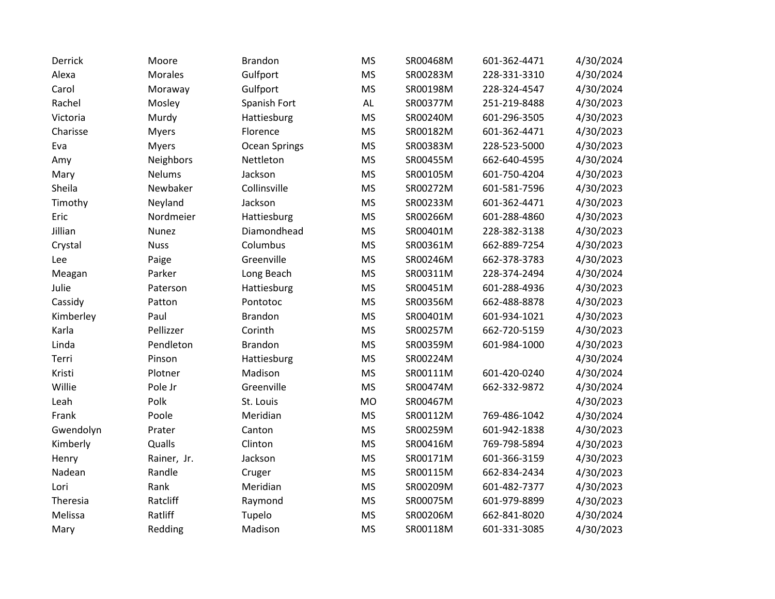| Derrick   | Moore          | <b>Brandon</b> | <b>MS</b>     | SR00468M | 601-362-4471 | 4/30/2024 |
|-----------|----------------|----------------|---------------|----------|--------------|-----------|
| Alexa     | <b>Morales</b> | Gulfport       | <b>MS</b>     | SR00283M | 228-331-3310 | 4/30/2024 |
| Carol     | Moraway        | Gulfport       | <b>MS</b>     | SR00198M | 228-324-4547 | 4/30/2024 |
| Rachel    | Mosley         | Spanish Fort   | $\mathsf{AL}$ | SR00377M | 251-219-8488 | 4/30/2023 |
| Victoria  | Murdy          | Hattiesburg    | <b>MS</b>     | SR00240M | 601-296-3505 | 4/30/2023 |
| Charisse  | <b>Myers</b>   | Florence       | <b>MS</b>     | SR00182M | 601-362-4471 | 4/30/2023 |
| Eva       | <b>Myers</b>   | Ocean Springs  | <b>MS</b>     | SR00383M | 228-523-5000 | 4/30/2023 |
| Amy       | Neighbors      | Nettleton      | <b>MS</b>     | SR00455M | 662-640-4595 | 4/30/2024 |
| Mary      | <b>Nelums</b>  | Jackson        | <b>MS</b>     | SR00105M | 601-750-4204 | 4/30/2023 |
| Sheila    | Newbaker       | Collinsville   | <b>MS</b>     | SR00272M | 601-581-7596 | 4/30/2023 |
| Timothy   | Neyland        | Jackson        | <b>MS</b>     | SR00233M | 601-362-4471 | 4/30/2023 |
| Eric      | Nordmeier      | Hattiesburg    | <b>MS</b>     | SR00266M | 601-288-4860 | 4/30/2023 |
| Jillian   | Nunez          | Diamondhead    | <b>MS</b>     | SR00401M | 228-382-3138 | 4/30/2023 |
| Crystal   | <b>Nuss</b>    | Columbus       | <b>MS</b>     | SR00361M | 662-889-7254 | 4/30/2023 |
| Lee       | Paige          | Greenville     | <b>MS</b>     | SR00246M | 662-378-3783 | 4/30/2023 |
| Meagan    | Parker         | Long Beach     | <b>MS</b>     | SR00311M | 228-374-2494 | 4/30/2024 |
| Julie     | Paterson       | Hattiesburg    | <b>MS</b>     | SR00451M | 601-288-4936 | 4/30/2023 |
| Cassidy   | Patton         | Pontotoc       | <b>MS</b>     | SR00356M | 662-488-8878 | 4/30/2023 |
| Kimberley | Paul           | <b>Brandon</b> | <b>MS</b>     | SR00401M | 601-934-1021 | 4/30/2023 |
| Karla     | Pellizzer      | Corinth        | <b>MS</b>     | SR00257M | 662-720-5159 | 4/30/2023 |
| Linda     | Pendleton      | <b>Brandon</b> | <b>MS</b>     | SR00359M | 601-984-1000 | 4/30/2023 |
| Terri     | Pinson         | Hattiesburg    | <b>MS</b>     | SR00224M |              | 4/30/2024 |
| Kristi    | Plotner        | Madison        | <b>MS</b>     | SR00111M | 601-420-0240 | 4/30/2024 |
| Willie    | Pole Jr        | Greenville     | <b>MS</b>     | SR00474M | 662-332-9872 | 4/30/2024 |
| Leah      | Polk           | St. Louis      | <b>MO</b>     | SR00467M |              | 4/30/2023 |
| Frank     | Poole          | Meridian       | <b>MS</b>     | SR00112M | 769-486-1042 | 4/30/2024 |
| Gwendolyn | Prater         | Canton         | <b>MS</b>     | SR00259M | 601-942-1838 | 4/30/2023 |
| Kimberly  | Qualls         | Clinton        | <b>MS</b>     | SR00416M | 769-798-5894 | 4/30/2023 |
| Henry     | Rainer, Jr.    | Jackson        | <b>MS</b>     | SR00171M | 601-366-3159 | 4/30/2023 |
| Nadean    | Randle         | Cruger         | <b>MS</b>     | SR00115M | 662-834-2434 | 4/30/2023 |
| Lori      | Rank           | Meridian       | <b>MS</b>     | SR00209M | 601-482-7377 | 4/30/2023 |
| Theresia  | Ratcliff       | Raymond        | <b>MS</b>     | SR00075M | 601-979-8899 | 4/30/2023 |
| Melissa   | Ratliff        | Tupelo         | <b>MS</b>     | SR00206M | 662-841-8020 | 4/30/2024 |
| Mary      | Redding        | Madison        | <b>MS</b>     | SR00118M | 601-331-3085 | 4/30/2023 |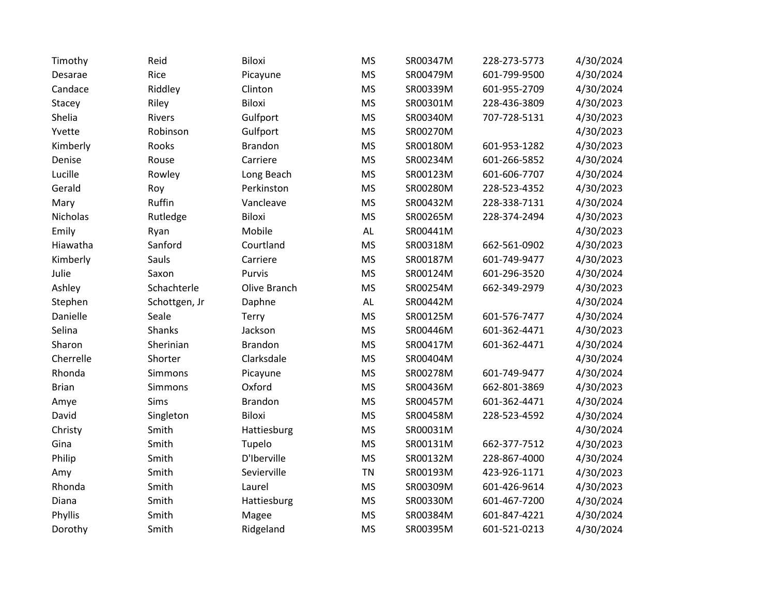| Timothy      | Reid          | Biloxi         | <b>MS</b>     | SR00347M | 228-273-5773 | 4/30/2024 |
|--------------|---------------|----------------|---------------|----------|--------------|-----------|
| Desarae      | Rice          | Picayune       | <b>MS</b>     | SR00479M | 601-799-9500 | 4/30/2024 |
| Candace      | Riddley       | Clinton        | <b>MS</b>     | SR00339M | 601-955-2709 | 4/30/2024 |
| Stacey       | Riley         | Biloxi         | <b>MS</b>     | SR00301M | 228-436-3809 | 4/30/2023 |
| Shelia       | Rivers        | Gulfport       | <b>MS</b>     | SR00340M | 707-728-5131 | 4/30/2023 |
| Yvette       | Robinson      | Gulfport       | <b>MS</b>     | SR00270M |              | 4/30/2023 |
| Kimberly     | Rooks         | <b>Brandon</b> | <b>MS</b>     | SR00180M | 601-953-1282 | 4/30/2023 |
| Denise       | Rouse         | Carriere       | <b>MS</b>     | SR00234M | 601-266-5852 | 4/30/2024 |
| Lucille      | Rowley        | Long Beach     | <b>MS</b>     | SR00123M | 601-606-7707 | 4/30/2024 |
| Gerald       | Roy           | Perkinston     | <b>MS</b>     | SR00280M | 228-523-4352 | 4/30/2023 |
| Mary         | Ruffin        | Vancleave      | <b>MS</b>     | SR00432M | 228-338-7131 | 4/30/2024 |
| Nicholas     | Rutledge      | Biloxi         | <b>MS</b>     | SR00265M | 228-374-2494 | 4/30/2023 |
| Emily        | Ryan          | Mobile         | $\mathsf{AL}$ | SR00441M |              | 4/30/2023 |
| Hiawatha     | Sanford       | Courtland      | <b>MS</b>     | SR00318M | 662-561-0902 | 4/30/2023 |
| Kimberly     | Sauls         | Carriere       | <b>MS</b>     | SR00187M | 601-749-9477 | 4/30/2023 |
| Julie        | Saxon         | Purvis         | <b>MS</b>     | SR00124M | 601-296-3520 | 4/30/2024 |
| Ashley       | Schachterle   | Olive Branch   | <b>MS</b>     | SR00254M | 662-349-2979 | 4/30/2023 |
| Stephen      | Schottgen, Jr | Daphne         | $\mathsf{AL}$ | SR00442M |              | 4/30/2024 |
| Danielle     | Seale         | Terry          | <b>MS</b>     | SR00125M | 601-576-7477 | 4/30/2024 |
| Selina       | <b>Shanks</b> | Jackson        | <b>MS</b>     | SR00446M | 601-362-4471 | 4/30/2023 |
| Sharon       | Sherinian     | <b>Brandon</b> | <b>MS</b>     | SR00417M | 601-362-4471 | 4/30/2024 |
| Cherrelle    | Shorter       | Clarksdale     | <b>MS</b>     | SR00404M |              | 4/30/2024 |
| Rhonda       | Simmons       | Picayune       | <b>MS</b>     | SR00278M | 601-749-9477 | 4/30/2024 |
| <b>Brian</b> | Simmons       | Oxford         | <b>MS</b>     | SR00436M | 662-801-3869 | 4/30/2023 |
| Amye         | Sims          | <b>Brandon</b> | <b>MS</b>     | SR00457M | 601-362-4471 | 4/30/2024 |
| David        | Singleton     | Biloxi         | <b>MS</b>     | SR00458M | 228-523-4592 | 4/30/2024 |
| Christy      | Smith         | Hattiesburg    | <b>MS</b>     | SR00031M |              | 4/30/2024 |
| Gina         | Smith         | Tupelo         | <b>MS</b>     | SR00131M | 662-377-7512 | 4/30/2023 |
| Philip       | Smith         | D'Iberville    | <b>MS</b>     | SR00132M | 228-867-4000 | 4/30/2024 |
| Amy          | Smith         | Sevierville    | <b>TN</b>     | SR00193M | 423-926-1171 | 4/30/2023 |
| Rhonda       | Smith         | Laurel         | <b>MS</b>     | SR00309M | 601-426-9614 | 4/30/2023 |
| Diana        | Smith         | Hattiesburg    | <b>MS</b>     | SR00330M | 601-467-7200 | 4/30/2024 |
| Phyllis      | Smith         | Magee          | <b>MS</b>     | SR00384M | 601-847-4221 | 4/30/2024 |
| Dorothy      | Smith         | Ridgeland      | <b>MS</b>     | SR00395M | 601-521-0213 | 4/30/2024 |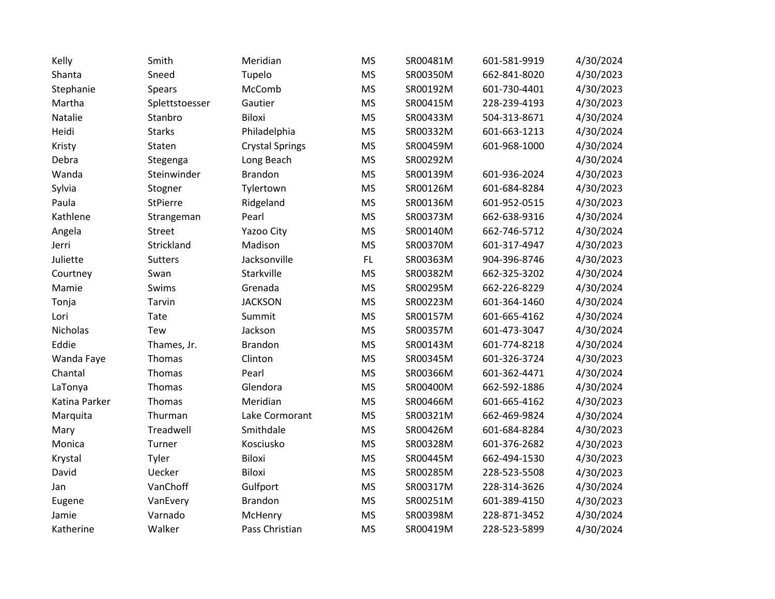| Kelly         | Smith           | Meridian               | <b>MS</b> | SR00481M | 601-581-9919 | 4/30/2024 |
|---------------|-----------------|------------------------|-----------|----------|--------------|-----------|
| Shanta        | Sneed           | Tupelo                 | <b>MS</b> | SR00350M | 662-841-8020 | 4/30/2023 |
| Stephanie     | Spears          | McComb                 | <b>MS</b> | SR00192M | 601-730-4401 | 4/30/2023 |
| Martha        | Splettstoesser  | Gautier                | <b>MS</b> | SR00415M | 228-239-4193 | 4/30/2023 |
| Natalie       | Stanbro         | Biloxi                 | <b>MS</b> | SR00433M | 504-313-8671 | 4/30/2024 |
| Heidi         | <b>Starks</b>   | Philadelphia           | <b>MS</b> | SR00332M | 601-663-1213 | 4/30/2024 |
| Kristy        | Staten          | <b>Crystal Springs</b> | <b>MS</b> | SR00459M | 601-968-1000 | 4/30/2024 |
| Debra         | Stegenga        | Long Beach             | <b>MS</b> | SR00292M |              | 4/30/2024 |
| Wanda         | Steinwinder     | <b>Brandon</b>         | <b>MS</b> | SR00139M | 601-936-2024 | 4/30/2023 |
| Sylvia        | Stogner         | Tylertown              | <b>MS</b> | SR00126M | 601-684-8284 | 4/30/2023 |
| Paula         | <b>StPierre</b> | Ridgeland              | <b>MS</b> | SR00136M | 601-952-0515 | 4/30/2023 |
| Kathlene      | Strangeman      | Pearl                  | <b>MS</b> | SR00373M | 662-638-9316 | 4/30/2024 |
| Angela        | <b>Street</b>   | Yazoo City             | <b>MS</b> | SR00140M | 662-746-5712 | 4/30/2024 |
| Jerri         | Strickland      | Madison                | <b>MS</b> | SR00370M | 601-317-4947 | 4/30/2023 |
| Juliette      | Sutters         | Jacksonville           | FL        | SR00363M | 904-396-8746 | 4/30/2023 |
| Courtney      | Swan            | Starkville             | <b>MS</b> | SR00382M | 662-325-3202 | 4/30/2024 |
| Mamie         | Swims           | Grenada                | <b>MS</b> | SR00295M | 662-226-8229 | 4/30/2024 |
| Tonja         | Tarvin          | <b>JACKSON</b>         | <b>MS</b> | SR00223M | 601-364-1460 | 4/30/2024 |
| Lori          | Tate            | Summit                 | <b>MS</b> | SR00157M | 601-665-4162 | 4/30/2024 |
| Nicholas      | Tew             | Jackson                | <b>MS</b> | SR00357M | 601-473-3047 | 4/30/2024 |
| Eddie         | Thames, Jr.     | <b>Brandon</b>         | <b>MS</b> | SR00143M | 601-774-8218 | 4/30/2024 |
| Wanda Faye    | Thomas          | Clinton                | <b>MS</b> | SR00345M | 601-326-3724 | 4/30/2023 |
| Chantal       | Thomas          | Pearl                  | <b>MS</b> | SR00366M | 601-362-4471 | 4/30/2024 |
| LaTonya       | Thomas          | Glendora               | <b>MS</b> | SR00400M | 662-592-1886 | 4/30/2024 |
| Katina Parker | Thomas          | Meridian               | <b>MS</b> | SR00466M | 601-665-4162 | 4/30/2023 |
| Marquita      | Thurman         | Lake Cormorant         | <b>MS</b> | SR00321M | 662-469-9824 | 4/30/2024 |
| Mary          | Treadwell       | Smithdale              | <b>MS</b> | SR00426M | 601-684-8284 | 4/30/2023 |
| Monica        | Turner          | Kosciusko              | <b>MS</b> | SR00328M | 601-376-2682 | 4/30/2023 |
| Krystal       | Tyler           | Biloxi                 | <b>MS</b> | SR00445M | 662-494-1530 | 4/30/2023 |
| David         | Uecker          | Biloxi                 | <b>MS</b> | SR00285M | 228-523-5508 | 4/30/2023 |
| Jan           | VanChoff        | Gulfport               | <b>MS</b> | SR00317M | 228-314-3626 | 4/30/2024 |
| Eugene        | VanEvery        | <b>Brandon</b>         | <b>MS</b> | SR00251M | 601-389-4150 | 4/30/2023 |
| Jamie         | Varnado         | McHenry                | <b>MS</b> | SR00398M | 228-871-3452 | 4/30/2024 |
| Katherine     | Walker          | Pass Christian         | <b>MS</b> | SR00419M | 228-523-5899 | 4/30/2024 |